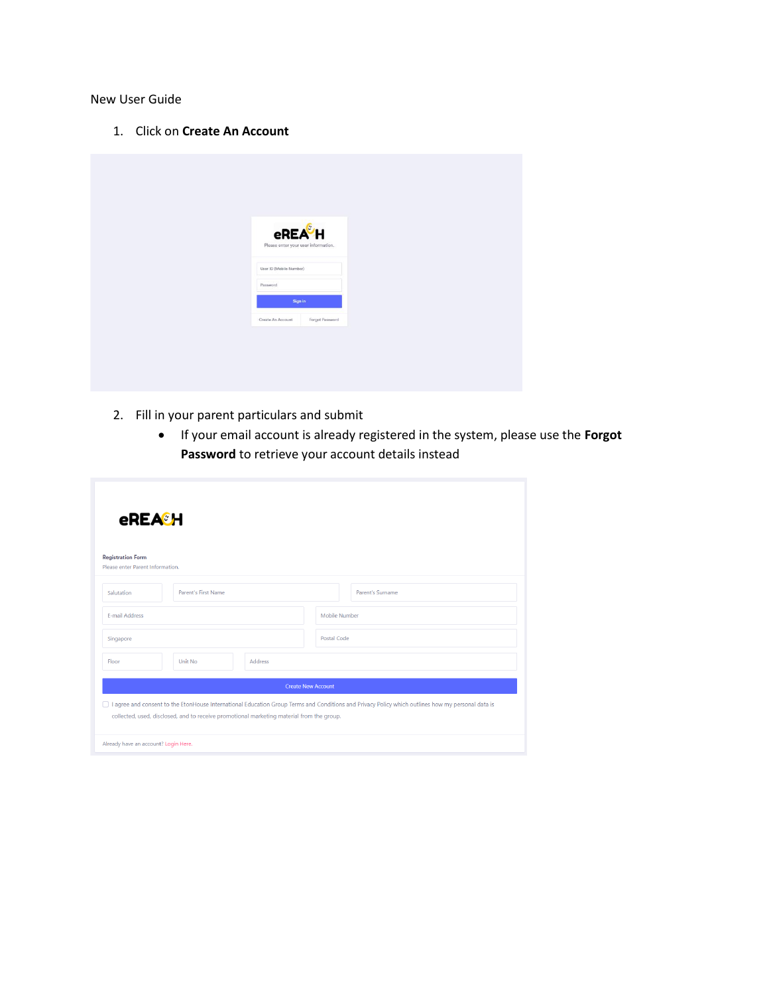New User Guide

1. Click on **Create An Account**

| eREA <sup>&amp;</sup> H<br>Please enter your user information.<br>User ID (Mobile Number)<br>Password<br>Sign in<br>Forgot Password<br>Create An Account |  |  |  |
|----------------------------------------------------------------------------------------------------------------------------------------------------------|--|--|--|
|                                                                                                                                                          |  |  |  |
|                                                                                                                                                          |  |  |  |
|                                                                                                                                                          |  |  |  |
|                                                                                                                                                          |  |  |  |
|                                                                                                                                                          |  |  |  |
|                                                                                                                                                          |  |  |  |
|                                                                                                                                                          |  |  |  |
|                                                                                                                                                          |  |  |  |

- 2. Fill in your parent particulars and submit
	- If your email account is already registered in the system, please use the **Forgot Password** to retrieve your account details instead

| eREA <sup>®</sup> H                                                                                                                                                                                                                              |                           |  |  |  |
|--------------------------------------------------------------------------------------------------------------------------------------------------------------------------------------------------------------------------------------------------|---------------------------|--|--|--|
| <b>Registration Form</b><br>Please enter Parent Information.                                                                                                                                                                                     |                           |  |  |  |
| <b>Parent's First Name</b><br>Salutation                                                                                                                                                                                                         | Parent's Surname          |  |  |  |
| <b>F-mail Address</b>                                                                                                                                                                                                                            | Mobile Number             |  |  |  |
| Singapore                                                                                                                                                                                                                                        | Postal Code               |  |  |  |
| Unit No.<br><b>Address</b><br>Floor                                                                                                                                                                                                              |                           |  |  |  |
|                                                                                                                                                                                                                                                  | <b>Create New Account</b> |  |  |  |
| □ I agree and consent to the EtonHouse International Education Group Terms and Conditions and Privacy Policy which outlines how my personal data is<br>collected, used, disclosed, and to receive promotional marketing material from the group. |                           |  |  |  |
| Already have an account? Login Here.                                                                                                                                                                                                             |                           |  |  |  |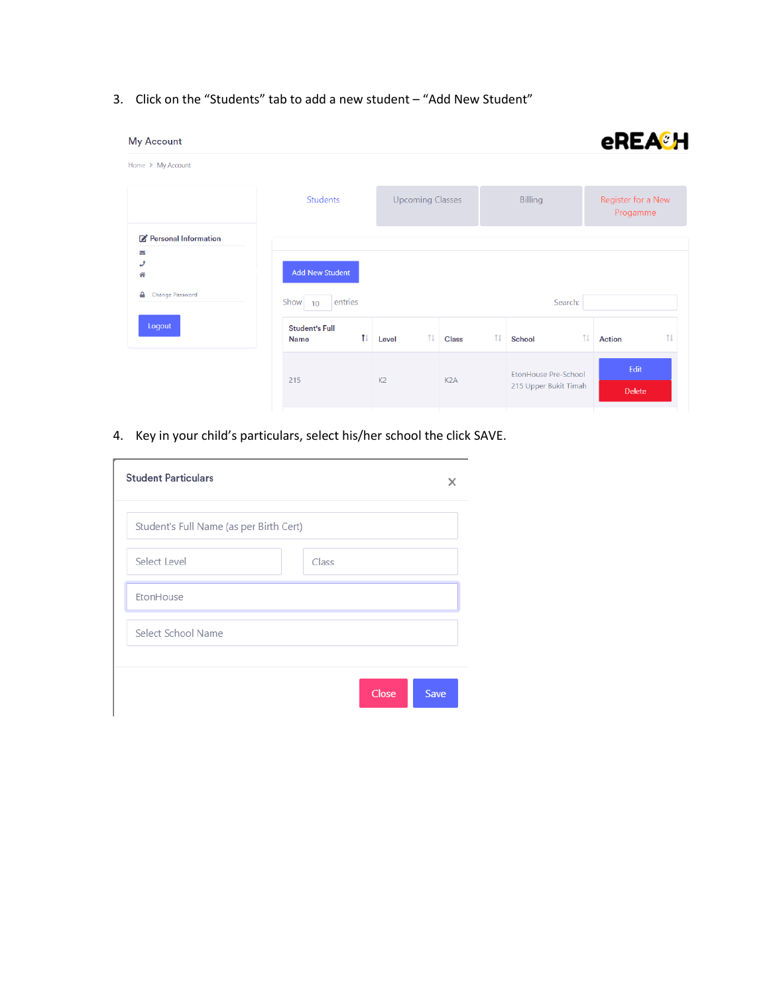3. Click on the "Students" tab to add a new student – "Add New Student"

| <b>My Account</b>                          |                                      |                       |                         |                  |   |                                                      | <b>eREA<sup>®</sup>H</b>               |  |
|--------------------------------------------|--------------------------------------|-----------------------|-------------------------|------------------|---|------------------------------------------------------|----------------------------------------|--|
| Home > My Account                          |                                      |                       |                         |                  |   |                                                      |                                        |  |
|                                            | <b>Students</b>                      |                       | <b>Upcoming Classes</b> |                  |   | <b>Billing</b>                                       | Register for a New<br>Progamme         |  |
| Personal Information<br>$\scriptstyle\sim$ |                                      |                       |                         |                  |   |                                                      |                                        |  |
| و<br>솎                                     | <b>Add New Student</b>               |                       |                         |                  |   |                                                      |                                        |  |
| Change Password<br>≏                       | entries<br>Show $10$                 |                       |                         |                  |   | Search:                                              |                                        |  |
| Logout                                     | <b>Student's Full</b><br><b>Name</b> | $\uparrow \downarrow$ | îŧ.<br>Level            | <b>Class</b>     | ⇅ | ⇅<br>School                                          | $\uparrow \downarrow$<br><b>Action</b> |  |
|                                            | 215                                  |                       | K <sub>2</sub>          | K <sub>2</sub> A |   | <b>EtonHouse Pre-School</b><br>215 Upper Bukit Timah | Edit                                   |  |
|                                            |                                      |                       |                         |                  |   |                                                      | <b>Delete</b>                          |  |

4. Key in your child's particulars, select his/her school the click SAVE.

| <b>Student Particulars</b>              |               |
|-----------------------------------------|---------------|
| Student's Full Name (as per Birth Cert) |               |
| Select Level                            | Class         |
| EtonHouse                               |               |
| Select School Name                      |               |
|                                         | Close<br>Save |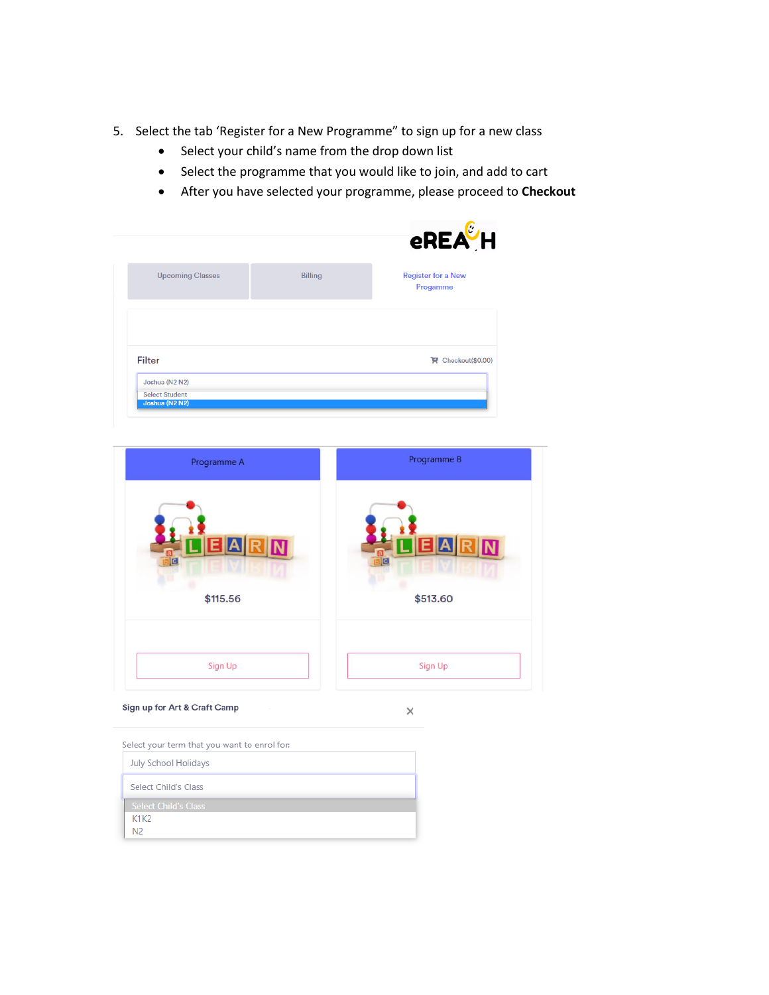- 5. Select the tab 'Register for a New Programme" to sign up for a new class
	- Select your child's name from the drop down list
	- Select the programme that you would like to join, and add to cart
	- After you have selected your programme, please proceed to **Checkout**

|                                         |                | <b>eREA</b> LH                        |
|-----------------------------------------|----------------|---------------------------------------|
| <b>Upcoming Classes</b>                 | <b>Billing</b> | <b>Register for a New</b><br>Progamme |
|                                         |                |                                       |
| <b>Filter</b>                           |                | Checkout(\$0.00)                      |
| Joshua (N2 N2)                          |                |                                       |
| <b>Select Student</b><br>Joshua (N2 N2) |                |                                       |



 $\times$